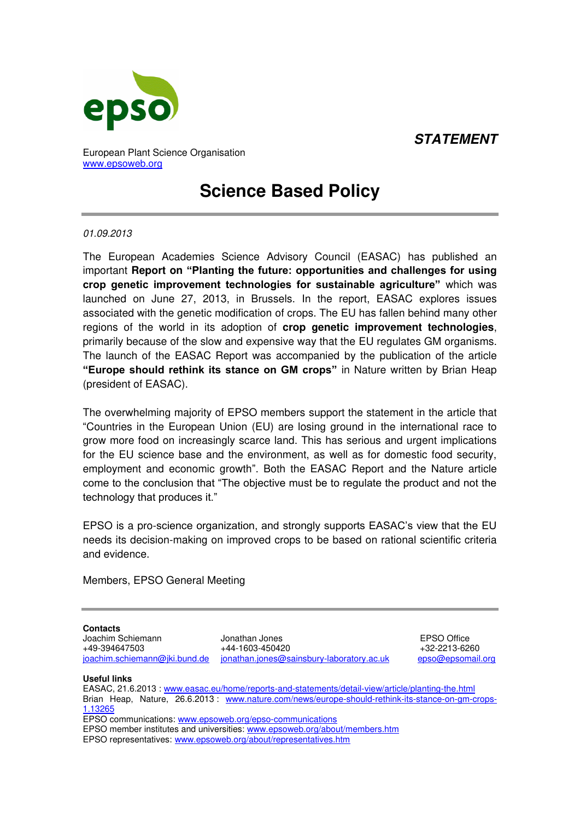*STATEMENT*



European Plant Science Organisation [www.epsoweb.org](http://www.epsoweb.org/) 

## **Science Based Policy**

## *01.09.2013*

The European Academies Science Advisory Council (EASAC) has published an important **Report on "Planting the future: opportunities and challenges for using crop genetic improvement technologies for sustainable agriculture"** which was launched on June 27, 2013, in Brussels. In the report, EASAC explores issues associated with the genetic modification of crops. The EU has fallen behind many other regions of the world in its adoption of **crop genetic improvement technologies**, primarily because of the slow and expensive way that the EU regulates GM organisms. The launch of the EASAC Report was accompanied by the publication of the article **"Europe should rethink its stance on GM crops"** in Nature written by Brian Heap (president of EASAC).

The overwhelming majority of EPSO members support the statement in the article that "Countries in the European Union (EU) are losing ground in the international race to grow more food on increasingly scarce land. This has serious and urgent implications for the EU science base and the environment, as well as for domestic food security, employment and economic growth". Both the EASAC Report and the Nature article come to the conclusion that "The objective must be to regulate the product and not the technology that produces it."

EPSO is a pro-science organization, and strongly supports EASAC's view that the EU needs its decision-making on improved crops to be based on rational scientific criteria and evidence.

Members, EPSO General Meeting

**Contacts**

Joachim Schiemann Jonathan Jones EPSO Office  $+44-1603-450420$ [joachim.schiemann@jki.bund.de](mailto:joachim.schiemann@jki.bund.de) [jonathan.jones@sainsbury-laboratory.ac.uk](mailto:jonathan.jones@sainsbury-laboratory.ac.uk) [epso@epsomail.org](mailto:epso@epsomail.org)

**Useful links** 

EASAC, 21.6.2013 : [www.easac.eu/home/reports-and-statements/detail-view/article/planting-the.html](http://www.easac.eu/home/reports-and-statements/detail-view/article/planting-the.html)  Brian Heap, Nature, 26.6.2013 : [www.nature.com/news/europe-should-rethink-its-stance-on-gm-crops-](http://www.nature.com/news/europe-should-rethink-its-stance-on-gm-crops-1.13265)[1.13265](http://www.nature.com/news/europe-should-rethink-its-stance-on-gm-crops-1.13265)  EPSO communications: www.epsoweb.org/epso-communications EPSO member institutes and universities[: www.epsoweb.org/about/members.htm](http://www.epsoweb.org/about/members.htm)

EPSO representatives: [www.epsoweb.org/about/representatives.htm](http://www.epsoweb.org/about/representatives.htm)